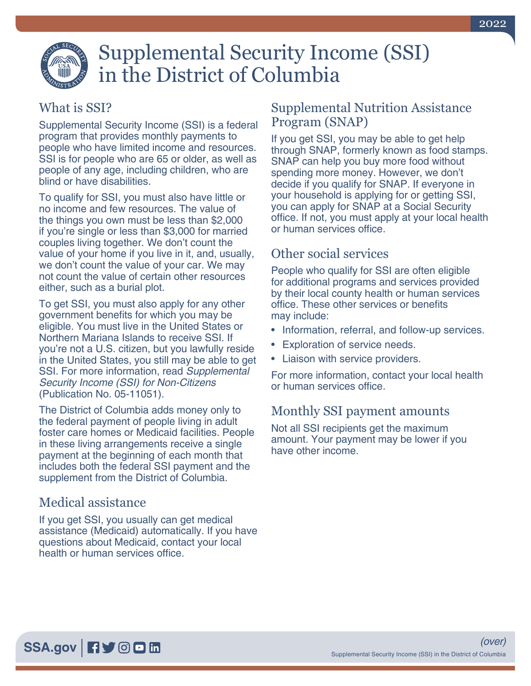# Supplemental Security Income (SSI) in the District of Columbia

## What is SSI?

Supplemental Security Income (SSI) is a federal program that provides monthly payments to people who have limited income and resources. SSI is for people who are 65 or older, as well as people of any age, including children, who are blind or have disabilities.

To qualify for SSI, you must also have little or no income and few resources. The value of the things you own must be less than \$2,000 if you're single or less than \$3,000 for married couples living together. We don't count the value of your home if you live in it, and, usually, we don't count the value of your car. We may not count the value of certain other resources either, such as a burial plot.

To get SSI, you must also apply for any other government benefits for which you may be eligible. You must live in the United States or Northern Mariana Islands to receive SSI. If you're not a U.S. citizen, but you lawfully reside in the United States, you still may be able to get SSI. For more information, read *[Supplemental](https://www.socialsecurity.gov/pubs/EN-05-11051.pdf)  [Security Income \(SSI\) for Non-Citizens](https://www.socialsecurity.gov/pubs/EN-05-11051.pdf)* [\(Publication No. 05-11051\)](https://www.socialsecurity.gov/pubs/EN-05-11051.pdf).

The District of Columbia adds money only to the federal payment of people living in adult foster care homes or Medicaid facilities. People in these living arrangements receive a single payment at the beginning of each month that includes both the federal SSI payment and the supplement from the District of Columbia.

## Medical assistance

If you get SSI, you usually can get medical assistance (Medicaid) automatically. If you have questions about Medicaid, contact your local health or human services office.

#### Supplemental Nutrition Assistance Program (SNAP)

If you get SSI, you may be able to get help through SNAP, formerly known as food stamps. SNAP can help you buy more food without spending more money. However, we don't decide if you qualify for SNAP. If everyone in your household is applying for or getting SSI, you can apply for SNAP at a Social Security office. If not, you must apply at your local health or human services office.

# Other social services

People who qualify for SSI are often eligible for additional programs and services provided by their local county health or human services office. These other services or benefits may include:

- Information, referral, and follow-up services.
- Exploration of service needs.
- Liaison with service providers.

For more information, contact your local health or human services office.

## Monthly SSI payment amounts

Not all SSI recipients get the maximum amount. Your payment may be lower if you have other income.